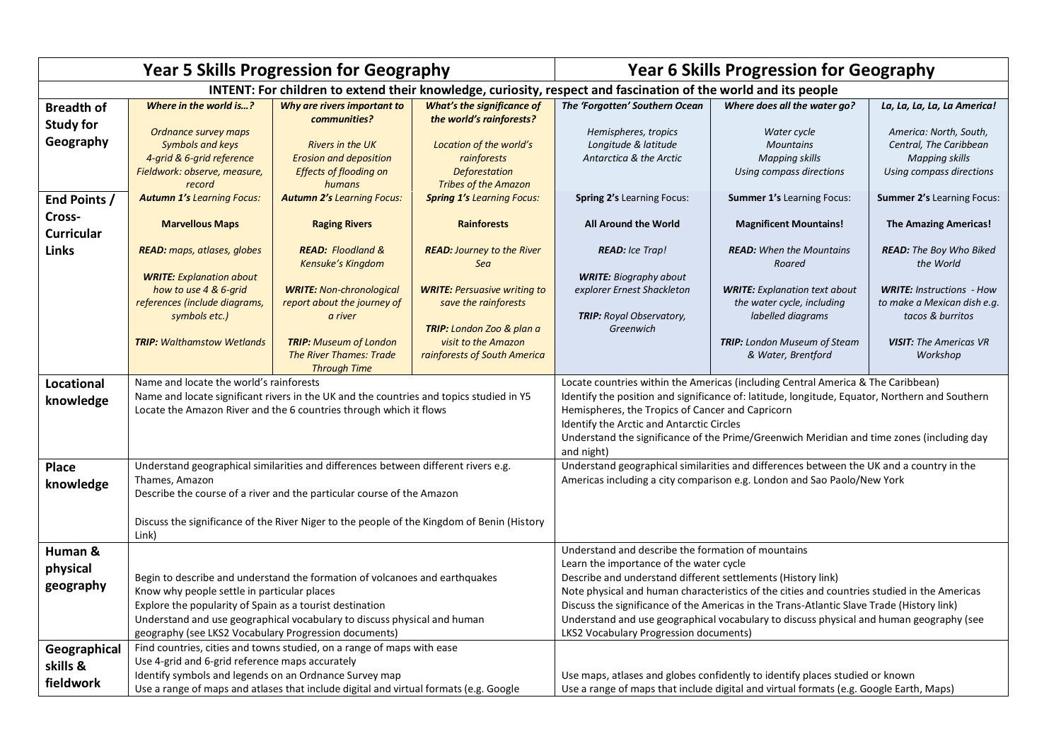| <b>Year 5 Skills Progression for Geography</b>                                                                 |                                                                                                                                                                                                                                                                                                                                      |                                                                                                     |                                                                                               | <b>Year 6 Skills Progression for Geography</b>                                                                                                                                                                                                                                                                                                                                                                                                                                                 |                                                                                         |                                                                                                       |  |
|----------------------------------------------------------------------------------------------------------------|--------------------------------------------------------------------------------------------------------------------------------------------------------------------------------------------------------------------------------------------------------------------------------------------------------------------------------------|-----------------------------------------------------------------------------------------------------|-----------------------------------------------------------------------------------------------|------------------------------------------------------------------------------------------------------------------------------------------------------------------------------------------------------------------------------------------------------------------------------------------------------------------------------------------------------------------------------------------------------------------------------------------------------------------------------------------------|-----------------------------------------------------------------------------------------|-------------------------------------------------------------------------------------------------------|--|
| INTENT: For children to extend their knowledge, curiosity, respect and fascination of the world and its people |                                                                                                                                                                                                                                                                                                                                      |                                                                                                     |                                                                                               |                                                                                                                                                                                                                                                                                                                                                                                                                                                                                                |                                                                                         |                                                                                                       |  |
| <b>Breadth of</b>                                                                                              | Where in the world is?                                                                                                                                                                                                                                                                                                               | Why are rivers important to<br>communities?                                                         | What's the significance of<br>the world's rainforests?                                        | The 'Forgotten' Southern Ocean                                                                                                                                                                                                                                                                                                                                                                                                                                                                 | Where does all the water go?                                                            | La, La, La, La, La America!                                                                           |  |
| <b>Study for</b><br>Geography                                                                                  | Ordnance survey maps<br><b>Symbols and keys</b><br>4-grid & 6-grid reference<br>Fieldwork: observe, measure,<br>record                                                                                                                                                                                                               | <b>Rivers in the UK</b><br><b>Erosion and deposition</b><br><b>Effects of flooding on</b><br>humans | Location of the world's<br>rainforests<br><b>Deforestation</b><br><b>Tribes of the Amazon</b> | Hemispheres, tropics<br>Longitude & latitude<br>Antarctica & the Arctic                                                                                                                                                                                                                                                                                                                                                                                                                        | Water cycle<br><b>Mountains</b><br><b>Mapping skills</b><br>Using compass directions    | America: North, South,<br>Central, The Caribbean<br><b>Mapping skills</b><br>Using compass directions |  |
| End Points /                                                                                                   | <b>Autumn 1's Learning Focus:</b>                                                                                                                                                                                                                                                                                                    | <b>Autumn 2's Learning Focus:</b>                                                                   | <b>Spring 1's Learning Focus:</b>                                                             | Spring 2's Learning Focus:                                                                                                                                                                                                                                                                                                                                                                                                                                                                     | <b>Summer 1's Learning Focus:</b>                                                       | <b>Summer 2's Learning Focus:</b>                                                                     |  |
| Cross-<br><b>Curricular</b>                                                                                    | <b>Marvellous Maps</b>                                                                                                                                                                                                                                                                                                               | <b>Raging Rivers</b>                                                                                | <b>Rainforests</b>                                                                            | All Around the World                                                                                                                                                                                                                                                                                                                                                                                                                                                                           | <b>Magnificent Mountains!</b>                                                           | <b>The Amazing Americas!</b>                                                                          |  |
| <b>Links</b>                                                                                                   | READ: maps, atlases, globes                                                                                                                                                                                                                                                                                                          | <b>READ:</b> Floodland &<br>Kensuke's Kingdom                                                       | <b>READ: Journey to the River</b><br>Sea                                                      | <b>READ:</b> Ice Trap!                                                                                                                                                                                                                                                                                                                                                                                                                                                                         | <b>READ:</b> When the Mountains<br>Roared                                               | READ: The Boy Who Biked<br>the World                                                                  |  |
|                                                                                                                | <b>WRITE:</b> Explanation about<br>how to use 4 & 6-grid<br>references (include diagrams,<br>symbols etc.)                                                                                                                                                                                                                           | <b>WRITE: Non-chronological</b><br>report about the journey of<br>a river                           | <b>WRITE: Persuasive writing to</b><br>save the rainforests<br>TRIP: London Zoo & plan a      | <b>WRITE: Biography about</b><br>explorer Ernest Shackleton<br><b>TRIP:</b> Royal Observatory,<br>Greenwich                                                                                                                                                                                                                                                                                                                                                                                    | <b>WRITE:</b> Explanation text about<br>the water cycle, including<br>labelled diagrams | <b>WRITE: Instructions - How</b><br>to make a Mexican dish e.g.<br>tacos & burritos                   |  |
|                                                                                                                | <b>TRIP:</b> Walthamstow Wetlands                                                                                                                                                                                                                                                                                                    | <b>TRIP:</b> Museum of London<br><b>The River Thames: Trade</b><br><b>Through Time</b>              | visit to the Amazon<br>rainforests of South America                                           |                                                                                                                                                                                                                                                                                                                                                                                                                                                                                                | <b>TRIP:</b> London Museum of Steam<br>& Water, Brentford                               | <b>VISIT:</b> The Americas VR<br>Workshop                                                             |  |
| <b>Locational</b><br>knowledge                                                                                 | Name and locate the world's rainforests<br>Name and locate significant rivers in the UK and the countries and topics studied in Y5<br>Locate the Amazon River and the 6 countries through which it flows                                                                                                                             |                                                                                                     |                                                                                               | Locate countries within the Americas (including Central America & The Caribbean)<br>Identify the position and significance of: latitude, longitude, Equator, Northern and Southern<br>Hemispheres, the Tropics of Cancer and Capricorn<br>Identify the Arctic and Antarctic Circles<br>Understand the significance of the Prime/Greenwich Meridian and time zones (including day<br>and night)                                                                                                 |                                                                                         |                                                                                                       |  |
| <b>Place</b><br>knowledge                                                                                      | Understand geographical similarities and differences between different rivers e.g.<br>Thames, Amazon<br>Describe the course of a river and the particular course of the Amazon<br>Discuss the significance of the River Niger to the people of the Kingdom of Benin (History                                                         |                                                                                                     |                                                                                               | Understand geographical similarities and differences between the UK and a country in the<br>Americas including a city comparison e.g. London and Sao Paolo/New York                                                                                                                                                                                                                                                                                                                            |                                                                                         |                                                                                                       |  |
| Human &<br>physical<br>geography                                                                               | Link)<br>Begin to describe and understand the formation of volcanoes and earthquakes<br>Know why people settle in particular places<br>Explore the popularity of Spain as a tourist destination<br>Understand and use geographical vocabulary to discuss physical and human<br>geography (see LKS2 Vocabulary Progression documents) |                                                                                                     |                                                                                               | Understand and describe the formation of mountains<br>Learn the importance of the water cycle<br>Describe and understand different settlements (History link)<br>Note physical and human characteristics of the cities and countries studied in the Americas<br>Discuss the significance of the Americas in the Trans-Atlantic Slave Trade (History link)<br>Understand and use geographical vocabulary to discuss physical and human geography (see<br>LKS2 Vocabulary Progression documents) |                                                                                         |                                                                                                       |  |
| Geographical<br>skills &<br>fieldwork                                                                          | Find countries, cities and towns studied, on a range of maps with ease<br>Use 4-grid and 6-grid reference maps accurately<br>Identify symbols and legends on an Ordnance Survey map<br>Use a range of maps and atlases that include digital and virtual formats (e.g. Google                                                         |                                                                                                     |                                                                                               | Use maps, atlases and globes confidently to identify places studied or known<br>Use a range of maps that include digital and virtual formats (e.g. Google Earth, Maps)                                                                                                                                                                                                                                                                                                                         |                                                                                         |                                                                                                       |  |